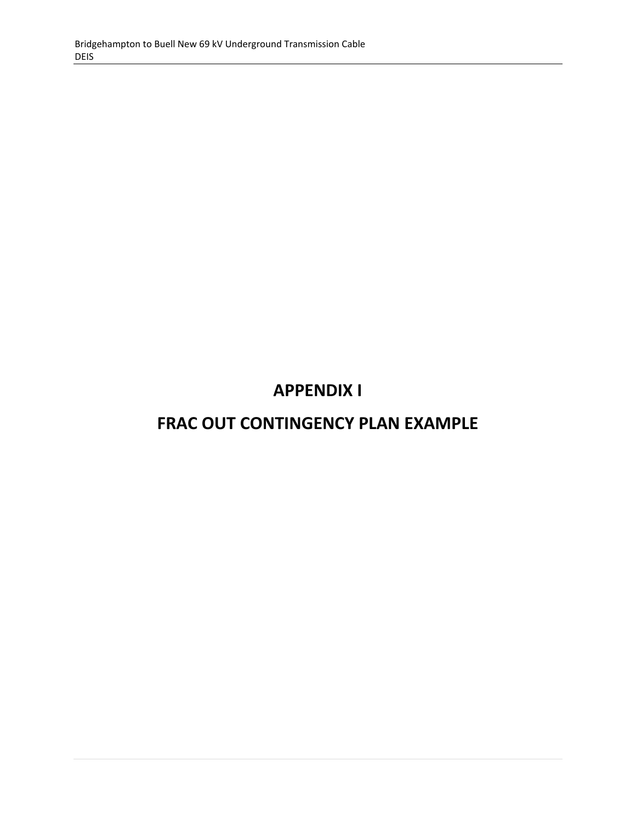# **APPENDIX I**

## **FRAC OUT CONTINGENCY PLAN EXAMPLE**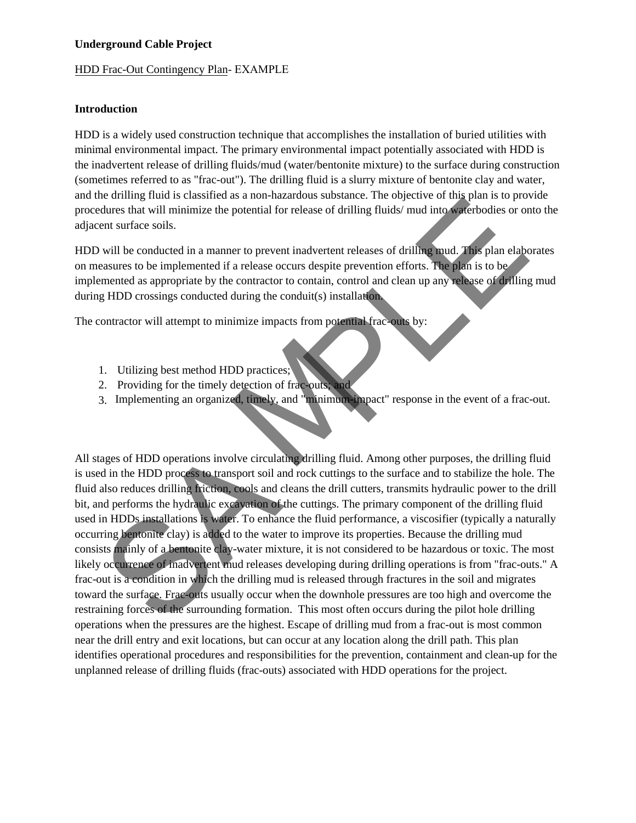#### **Underground Cable Project**

#### HDD Frac-Out Contingency Plan- EXAMPLE

#### **Introduction**

HDD is a widely used construction technique that accomplishes the installation of buried utilities with minimal environmental impact. The primary environmental impact potentially associated with HDD is the inadvertent release of drilling fluids/mud (water/bentonite mixture) to the surface during construction (sometimes referred to as "frac-out"). The drilling fluid is a slurry mixture of bentonite clay and water, and the drilling fluid is classified as a non-hazardous substance. The objective of this plan is to provide procedures that will minimize the potential for release of drilling fluids/ mud into waterbodies or onto the adjacent surface soils.

HDD will be conducted in a manner to prevent inadvertent releases of drilling mud. This plan elaborates on measures to be implemented if a release occurs despite prevention efforts. The plan is to be implemented as appropriate by the contractor to contain, control and clean up any release of drilling mud during HDD crossings conducted during the conduit(s) installation.

The contractor will attempt to minimize impacts from potential frac-outs by:

- 1. Utilizing best method HDD practices;
- 2. Providing for the timely detection of frac-outs; and
- 3. Implementing an organized, timely, and "minimum-impact" response in the event of a frac-out.

is unimp mate is cassisted as a non-random share. The objective of this state that the state of the state of the state of the state of the state of the state of the state of the state of the state of the state and the stat All stages of HDD operations involve circulating drilling fluid. Among other purposes, the drilling fluid is used in the HDD process to transport soil and rock cuttings to the surface and to stabilize the hole. The fluid also reduces drilling friction, cools and cleans the drill cutters, transmits hydraulic power to the drill bit, and performs the hydraulic excavation of the cuttings. The primary component of the drilling fluid used in HDDs installations is water. To enhance the fluid performance, a viscosifier (typically a naturally occurring bentonite clay) is added to the water to improve its properties. Because the drilling mud consists mainly of a bentonite clay-water mixture, it is not considered to be hazardous or toxic. The most likely occurrence of inadvertent mud releases developing during drilling operations is from "frac-outs." A frac-out is a condition in which the drilling mud is released through fractures in the soil and migrates toward the surface. Frac-outs usually occur when the downhole pressures are too high and overcome the restraining forces of the surrounding formation. This most often occurs during the pilot hole drilling operations when the pressures are the highest. Escape of drilling mud from a frac-out is most common near the drill entry and exit locations, but can occur at any location along the drill path. This plan identifies operational procedures and responsibilities for the prevention, containment and clean-up for the unplanned release of drilling fluids (frac-outs) associated with HDD operations for the project.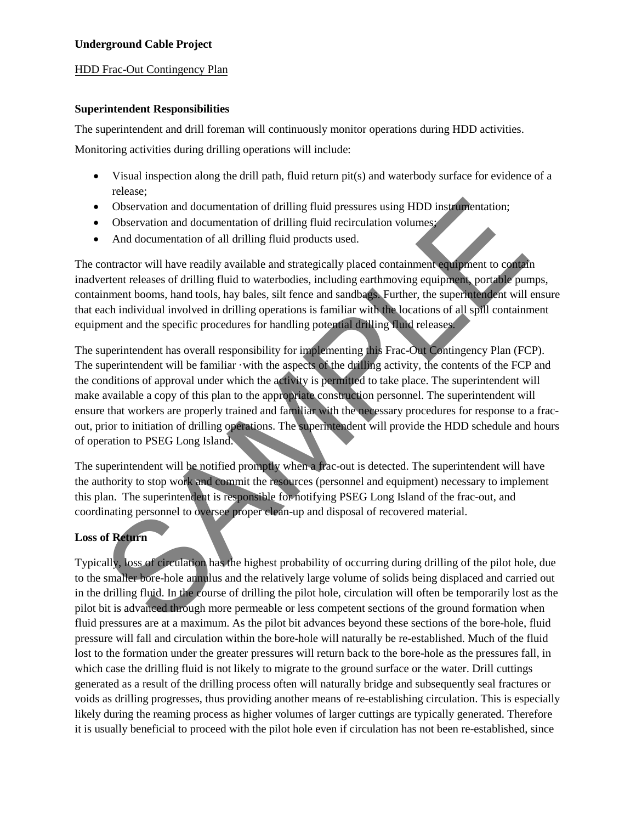## **Underground Cable Project**

## HDD Frac-Out Contingency Plan

## **Superintendent Responsibilities**

The superintendent and drill foreman will continuously monitor operations during HDD activities.

Monitoring activities during drilling operations will include:

- Visual inspection along the drill path, fluid return pit(s) and waterbody surface for evidence of a release;
- Observation and documentation of drilling fluid pressures using HDD instrumentation;
- Observation and documentation of drilling fluid recirculation volumes;
- And documentation of all drilling fluid products used.

The contractor will have readily available and strategically placed containment equipment to contain inadvertent releases of drilling fluid to waterbodies, including earthmoving equipment, portable pumps, containment booms, hand tools, hay bales, silt fence and sandbags. Further, the superintendent will ensure that each individual involved in drilling operations is familiar with the locations of all spill containment equipment and the specific procedures for handling potential drilling fluid releases.

Observation and documentation of drilling fluid pressures using HDD instrumentation;<br>Observation and documentation of drilling fluid products used.<br>
And documentation of all drilling fluid products used.<br>
And documentation The superintendent has overall responsibility for implementing this Frac-Out Contingency Plan (FCP). The superintendent will be familiar  $\cdot$  with the aspects of the drilling activity, the contents of the FCP and the conditions of approval under which the activity is permitted to take place. The superintendent will make available a copy of this plan to the appropriate construction personnel. The superintendent will ensure that workers are properly trained and familiar with the necessary procedures for response to a fracout, prior to initiation of drilling operations. The superintendent will provide the HDD schedule and hours of operation to PSEG Long Island.

The superintendent will be notified promptly when a frac-out is detected. The superintendent will have the authority to stop work and commit the resources (personnel and equipment) necessary to implement this plan. The superintendent is responsible for notifying PSEG Long Island of the frac-out, and coordinating personnel to oversee proper clean-up and disposal of recovered material.

## **Loss of Return**

Typically, loss of circulation has the highest probability of occurring during drilling of the pilot hole, due to the smaller bore-hole annulus and the relatively large volume of solids being displaced and carried out in the drilling fluid. In the course of drilling the pilot hole, circulation will often be temporarily lost as the pilot bit is advanced through more permeable or less competent sections of the ground formation when fluid pressures are at a maximum. As the pilot bit advances beyond these sections of the bore-hole, fluid pressure will fall and circulation within the bore-hole will naturally be re-established. Much of the fluid lost to the formation under the greater pressures will return back to the bore-hole as the pressures fall, in which case the drilling fluid is not likely to migrate to the ground surface or the water. Drill cuttings generated as a result of the drilling process often will naturally bridge and subsequently seal fractures or voids as drilling progresses, thus providing another means of re-establishing circulation. This is especially likely during the reaming process as higher volumes of larger cuttings are typically generated. Therefore it is usually beneficial to proceed with the pilot hole even if circulation has not been re-established, since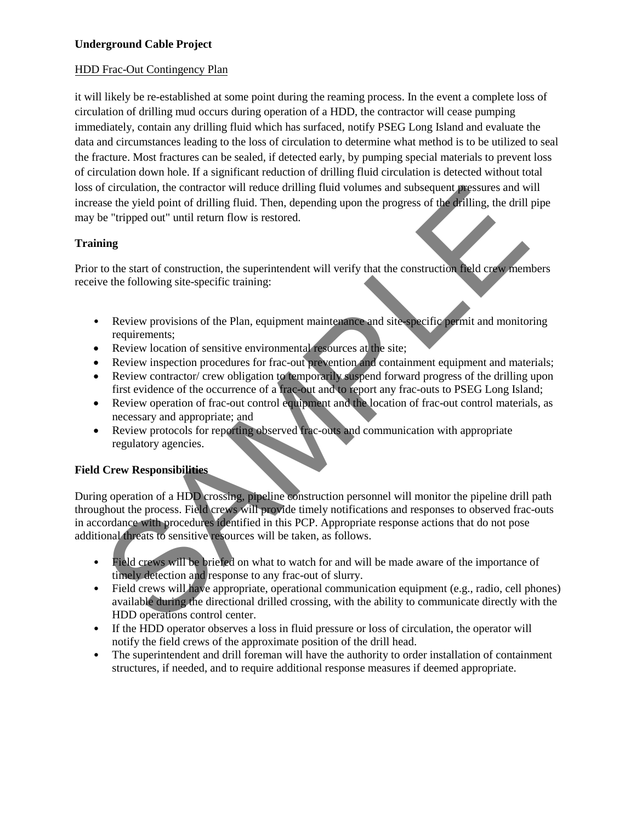## HDD Frac-Out Contingency Plan

it will likely be re-established at some point during the reaming process. In the event a complete loss of circulation of drilling mud occurs during operation of a HDD, the contractor will cease pumping immediately, contain any drilling fluid which has surfaced, notify PSEG Long Island and evaluate the data and circumstances leading to the loss of circulation to determine what method is to be utilized to seal the fracture. Most fractures can be sealed, if detected early, by pumping special materials to prevent loss of circulation down hole. If a significant reduction of drilling fluid circulation is detected without total loss of circulation, the contractor will reduce drilling fluid volumes and subsequent pressures and will increase the yield point of drilling fluid. Then, depending upon the progress of the drilling, the drill pipe may be "tripped out" until return flow is restored.

## **Training**

Prior to the start of construction, the superintendent will verify that the construction field crew members receive the following site-specific training:

- Review provisions of the Plan, equipment maintenance and site-specific permit and monitoring requirements;
- Review location of sensitive environmental resources at the site;
- Review inspection procedures for frac-out prevention and containment equipment and materials;
- Review contractor/ crew obligation to temporarily suspend forward progress of the drilling upon first evidence of the occurrence of a frac-out and to report any frac-outs to PSEG Long Island;
- Review operation of frac-out control equipment and the location of frac-out control materials, as necessary and appropriate; and
- Review protocols for reporting observed frac-outs and communication with appropriate regulatory agencies.

## **Field Crew Responsibilities**

of circulation, the contractor will reduce drilling fluid volumes and subsequent presents and will relevant of the start of construction. Then, depending upon the progress of the failling, the drill pipe<br>
"tripped out" unt During operation of a HDD crossing, pipeline construction personnel will monitor the pipeline drill path throughout the process. Field crews will provide timely notifications and responses to observed frac-outs in accordance with procedures identified in this PCP. Appropriate response actions that do not pose additional threats to sensitive resources will be taken, as follows.

- Field crews will be briefed on what to watch for and will be made aware of the importance of timely detection and response to any frac-out of slurry.
- Field crews will have appropriate, operational communication equipment (e.g., radio, cell phones) available during the directional drilled crossing, with the ability to communicate directly with the HDD operations control center.
- If the HDD operator observes a loss in fluid pressure or loss of circulation, the operator will notify the field crews of the approximate position of the drill head.
- The superintendent and drill foreman will have the authority to order installation of containment structures, if needed, and to require additional response measures if deemed appropriate.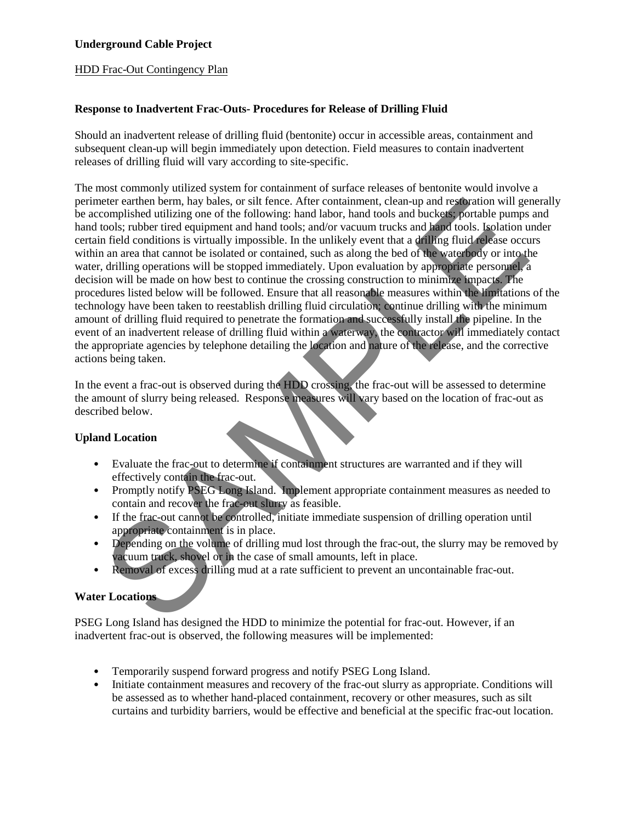HDD Frac-Out Contingency Plan

## **Response to Inadvertent Frac-Outs- Procedures for Release of Drilling Fluid**

Should an inadvertent release of drilling fluid (bentonite) occur in accessible areas, containment and subsequent clean-up will begin immediately upon detection. Field measures to contain inadvertent releases of drilling fluid will vary according to site-specific.

elect ceather berm, hay belos, or sill fence, Alter containment, deam-<br>parallel as the structure and the structure and buckets portable pumps and<br>oromylished utilizing one of the following: hand labor, hand tools and bucke The most commonly utilized system for containment of surface releases of bentonite would involve a perimeter earthen berm, hay bales, or silt fence. After containment, clean-up and restoration will generally be accomplished utilizing one of the following: hand labor, hand tools and buckets; portable pumps and hand tools; rubber tired equipment and hand tools; and/or vacuum trucks and hand tools. Isolation under certain field conditions is virtually impossible. In the unlikely event that a drilling fluid release occurs within an area that cannot be isolated or contained, such as along the bed of the waterbody or into the water, drilling operations will be stopped immediately. Upon evaluation by appropriate personnel, a decision will be made on how best to continue the crossing construction to minimize impacts. The procedures listed below will be followed. Ensure that all reasonable measures within the limitations of the technology have been taken to reestablish drilling fluid circulation; continue drilling with the minimum amount of drilling fluid required to penetrate the formation and successfully install the pipeline. In the event of an inadvertent release of drilling fluid within a waterway, the contractor will immediately contact the appropriate agencies by telephone detailing the location and nature of the release, and the corrective actions being taken.

In the event a frac-out is observed during the HDD crossing, the frac-out will be assessed to determine the amount of slurry being released. Response measures will vary based on the location of frac-out as described below.

## **Upland Location**

- Evaluate the frac-out to determine if containment structures are warranted and if they will effectively contain the frac-out.
- Promptly notify PSEG Long Island. Implement appropriate containment measures as needed to contain and recover the frac-out slurry as feasible.
- If the frac-out cannot be controlled, initiate immediate suspension of drilling operation until appropriate containment is in place.
- Depending on the volume of drilling mud lost through the frac-out, the slurry may be removed by vacuum truck, shovel or in the case of small amounts, left in place.
- Removal of excess drilling mud at a rate sufficient to prevent an uncontainable frac-out.

## **Water Locations**

PSEG Long Island has designed the HDD to minimize the potential for frac-out. However, if an inadvertent frac-out is observed, the following measures will be implemented:

- Temporarily suspend forward progress and notify PSEG Long Island.
- Initiate containment measures and recovery of the frac-out slurry as appropriate. Conditions will be assessed as to whether hand-placed containment, recovery or other measures, such as silt curtains and turbidity barriers, would be effective and beneficial at the specific frac-out location.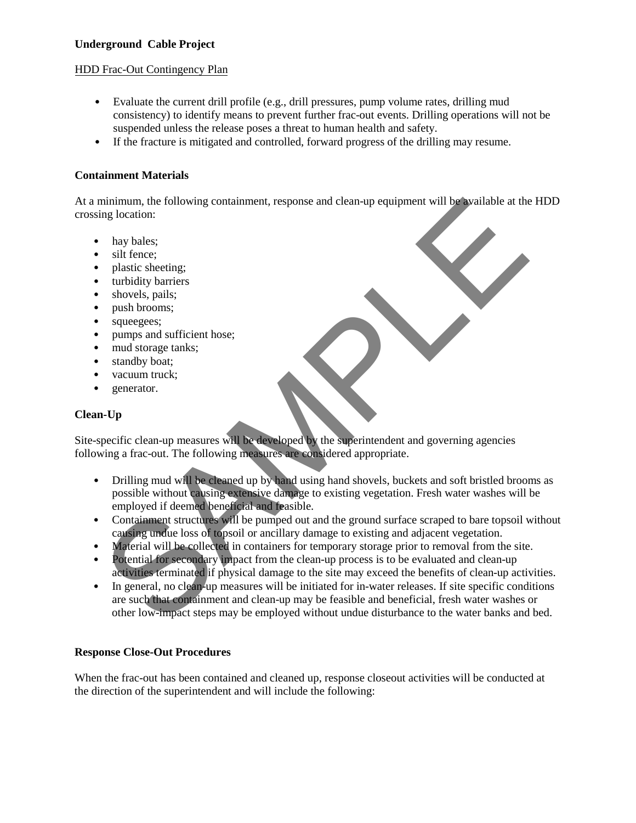## **Underground Cable Project**

#### HDD Frac-Out Contingency Plan

- Evaluate the current drill profile (e.g., drill pressures, pump volume rates, drilling mud consistency) to identify means to prevent further frac-out events. Drilling operations will not be suspended unless the release poses a threat to human health and safety.
- If the fracture is mitigated and controlled, forward progress of the drilling may resume.

## **Containment Materials**

At a minimum, the following containment, response and clean-up equipment will be available at the HDD crossing location:

- hay bales;
- silt fence;
- plastic sheeting;
- turbidity barriers
- shovels, pails;
- push brooms;
- squeegees;
- pumps and sufficient hose;
- mud storage tanks;
- standby boat:
- vacuum truck;
- generator.

## **Clean-Up**

Site-specific clean-up measures will be developed by the superintendent and governing agencies following a frac-out. The following measures are considered appropriate.

- Drilling mud will be cleaned up by hand using hand shovels, buckets and soft bristled brooms as possible without causing extensive damage to existing vegetation. Fresh water washes will be employed if deemed beneficial and feasible.
- Containment structures will be pumped out and the ground surface scraped to bare topsoil without causing undue loss of topsoil or ancillary damage to existing and adjacent vegetation.
- Material will be collected in containers for temporary storage prior to removal from the site.
- Potential for secondary impact from the clean-up process is to be evaluated and clean-up activities terminated if physical damage to the site may exceed the benefits of clean-up activities.
- minimum, the following containment, response and clean-up equipment will be valiable at the HDD<br>
ping location:<br>
hay balsis:<br>
here:<br>
have balsis:<br>
stiff fence:<br>
stiff fence:<br>
stiff fence:<br>
stiff fence:<br>
stiff fence:<br>
stiff • In general, no clean-up measures will be initiated for in-water releases. If site specific conditions are such that containment and clean-up may be feasible and beneficial, fresh water washes or other low-impact steps may be employed without undue disturbance to the water banks and bed.

#### **Response Close-Out Procedures**

When the frac-out has been contained and cleaned up, response closeout activities will be conducted at the direction of the superintendent and will include the following: